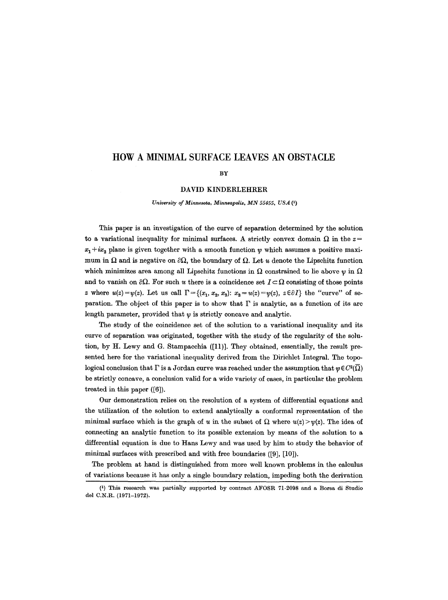# **HOW A MINIMAL SURFACE LEAVES AN OBSTACLE**

### **BY**

### DAVID KINDERLEHRER

*University of Minnesota, Minneapolis, MN 55455, USA (1)* 

This paper is an investigation of the curve of separation determined by the solution to a variational inequality for minimal surfaces. A strictly convex domain  $\Omega$  in the z =  $x_1 + ix_2$  plane is given together with a smooth function  $\psi$  which assumes a positive maximum in  $\Omega$  and is negative on  $\partial\Omega$ , the boundary of  $\Omega$ . Let u denote the Lipschitz function which minimizes area among all Lipschitz functions in  $\Omega$  constrained to lie above  $\psi$  in  $\Omega$ and to vanish on  $\partial\Omega$ . For such u there is a coincidence set  $I \subset \Omega$  consisting of those points z where  $u(z)=\psi(z)$ . Let us call  $\Gamma = \{(x_1, x_2, x_3): x_3=u(z)=\psi(z), z \in \partial I\}$  the "curve" of separation. The object of this paper is to show that  $\Gamma$  is analytic, as a function of its arc length parameter, provided that  $\psi$  is strictly concave and analytic.

The study of the coincidence set of the solution to a variational inequality and its curve of separation was originated, together with the study of the regularity of the solution, by H. Lewy and G. Stampacchia ([11)]. They obtained, essentially, the result presented here for the variational inequality derived from the Dirichlet Integral. The topological conclusion that  $\Gamma$  is a Jordan curve was reached under the assumption that  $\psi \in C^2(\overline{\Omega})$ be strictly concave, a conclusion valid for a wide variety of cases, in particular the problem treated in this paper ([6]).

Our demonstration reties on the resolution of a system of differential equations and the utilization of the solution to extend analytically a conformal representation of the minimal surface which is the graph of u in the subset of  $\Omega$  where  $u(z) > v(z)$ . The idea of connecting an analytic function to its possible extension by means of the solution to a differential equation is due to Hans Lewy and was used by him to study the behavior of minimal surfaces with prescribed and with free boundaries ([9], [10]).

The problem at hand is distinguished from more well known problems in the calculus of variations because it has only a single boundary relation, impeding both the derivation

<sup>(1)</sup> This research was partially supported by contract AFOSR 71-2098 and a Borsa di Studio del C.N.R. (1971-1972).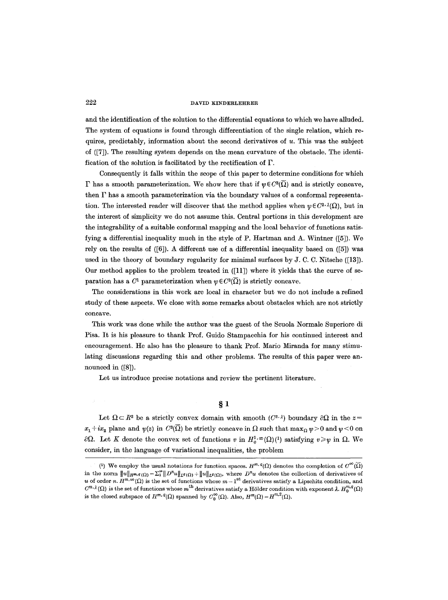and the identification of the solution to the differential equations to which we have alluded. The system of equations is found through differentiation of the single relation, which requires, predictably, information about the second derivatives of  $u$ . This was the subject of ([7]). The resulting system depends on the mean curvature of the obstacle. The identification of the solution is facilitated by the rectification of  $\Gamma$ .

Consequently it falls within the scope of this paper to determine conditions for which  $\Gamma$  has a smooth parameterization. We show here that if  $\psi \in C^{3}(\overline{\Omega})$  and is strictly concave, then  $\Gamma$  has a smooth parameterization via the boundary values of a conformal representation. The interested reader will discover that the method applies when  $\psi \in C^{2,\lambda}(\Omega)$ , but in the interest of simplicity we do not assume this. Central portions in this development are the integrability of a suitable conformal mapping and the local behavior of functions satisfying a differential inequality much in the style of P. Hartman and A. Wintner ([5]). We rely on the results of ([6]). A different use of a differential inequality based on ([5]) was used in the theory of boundary regularity for minimal surfaces by  $J$ . C. C. Nitsche ([13]). Our method applies to the problem treated in ([11]) where it yields that the curve of separation has a  $C^1$  parameterization when  $\psi \in C^3(\overline{\Omega})$  is strictly concave.

The considerations in this work are local in character but we do not include a refined study of these aspects. We close with some remarks about obstacles which are not strictly concave.

This work was done while the author was the guest of the Scuola Normale Superiore di Pisa. It is his pleasure to thank Prof. Guido Stampacchia for his continued interest and encouragement. He also has the pleasure to thank Prof. Mario Miranda for many stimulating discussions regarding this and other problems. The results of this paper were announced in  $([8])$ .

Let us introduce precise notations and review the pertinent literature.

 $§<sub>1</sub>$ 

Let  $\Omega \subset R^2$  be a strictly convex domain with smooth  $(C^{2, \lambda})$  boundary  $\partial \Omega$  in the  $z =$  $x_1 + ix_2$  plane and  $\psi(z)$  in  $C^3(\overline{\Omega})$  be strictly concave in  $\Omega$  such that  $\max_{\Omega} \psi > 0$  and  $\psi < 0$  on  $\partial\Omega$ . Let K denote the convex set of functions v in  $H^{1,\infty}_{0}(\Omega)$  satisfying  $v \geq v$  in  $\Omega$ . We consider, in the language of variational inequalities, the problem

<sup>(1)</sup> We employ the usual notations for function spaces.  $H^{m,q}(\Omega)$  denotes the completion of  $C^{\infty}(\overline{\Omega})$ in the norm  $||u||_{H^{m,q}(\Omega)}=\sum_{i=1}^m ||D^nu||_{L^q(\Omega)}+ ||u||_{L^q(\Omega)}$ , where  $D^nu$  denotes the collection of derivatives of u of order *n*.  $H^{m,\infty}(\Omega)$  is the set of functions whose  $m-1$ <sup>st</sup> derivatives satisfy a Lipschitz condition, and  $C^{m,\lambda}(\Omega)$  is the set of functions whose m<sup>th</sup> derivatives satisfy a Hölder condition with exponent  $\lambda$ .  $H_0^{m,q}(\Omega)$ is the closed subspace of  $H^{m,q}(\Omega)$  spanned by  $C_0^{\infty}(\Omega)$ . Also,  $H^m(\Omega) = H^{m,2}(\Omega)$ .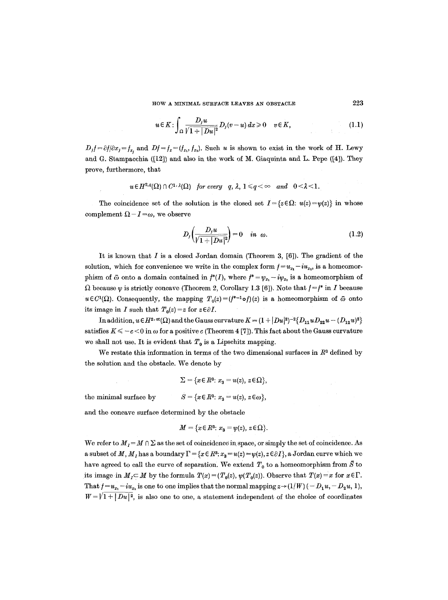HOW A MINIMAL SURFACE LEAVES AN OBSTACLE 223

$$
u \in K: \int_{\Omega} \frac{D_j u}{\sqrt{1+|Du|^2}} D_j(v-u) dx \geq 0 \quad v \in K,
$$
\n(1.1)

 $D_j f = \partial f/\partial x_j = f_{x_i}$  and  $Df = f_x = (f_{x_i}, f_{x_i})$ . Such u is shown to exist in the work of H. Lewy and G. Stampacchia ([12]) and also in the work of M. Giaquinta and L. Pepe ([4]). They prove, furthermore, that

$$
u \in H^{2,q}(\Omega) \cap C^{1,\lambda}(\Omega) \quad \text{for every} \quad q, \lambda, 1 \leq q < \infty \quad \text{and} \quad 0 < \lambda < 1.
$$

The coincidence set of the solution is the closed set  $I = \{z \in \Omega : u(z) = \psi(z)\}\$  in whose complement  $\Omega - I = \omega$ , we observe

$$
D_j\left(\frac{D_j u}{\sqrt{1+|Du|^2}}\right)=0 \quad in \ \omega. \tag{1.2}
$$

It is known that  $I$  is a closed Jordan domain (Theorem 3, [6]). The gradient of the solution, which for convenience we write in the complex form  $f=u_{x_1}-iu_{x_2}$ , is a homeomorphism of  $\bar{\omega}$  onto a domain contained in  $f^*(I)$ , where  $f^* = \psi_{x_1} - i\psi_{x_2}$  is a homeomorphism of  $\Omega$  because  $\psi$  is strictly concave (Theorem 2, Corollary 1.3 [6]). Note that  $f=f^*$  in I because  $u \in C^1(\Omega)$ . Consequently, the mapping  $T_0(z) = (f^{*-1} \circ f)(z)$  is a homeomorphism of  $\bar{\omega}$  onto its image in I such that  $T_0(z) = z$  for  $z \in \partial I$ .

In addition,  $u \in H^{2,\infty}(\Omega)$  and the Gauss curvature  $K = (1 + |Du|^2)^{-2} \{D_{11}uD_{22}u - (D_{12}u)^2\}$ satisfies  $K \leq -c < 0$  in  $\omega$  for a positive c (Theorem 4 [7]). This fact about the Gauss curvature we shall not use. It is evident that  $T_0$  is a Lipschitz mapping.

We restate this information in terms of the two dimensional surfaces in  $R<sup>3</sup>$  defined by the solution and the obstacle. We denote by

$$
\Sigma = \{x \in R^3 : x_3 = u(z), z \in \Omega\},\
$$

the minimal surface by  $S = \{x \in \mathbb{R}^3 : x_3 = u(z), z \in \omega\},\$ 

and the concave surface determined by the obstacle

$$
M = \{x \in R^3 : x_3 = \psi(z), z \in \Omega\}.
$$

We refer to  $M_I = M \cap \Sigma$  as the set of coincidence in space, or simply the set of coincidence. As a subset of M,  $M_1$  has a boundary  $\Gamma = \{x \in \mathbb{R}^3 : x_3 = u(z) = \psi(z), z \in \partial I\}$ , a Jordan curve which we have agreed to call the curve of separation. We extend  $T_0$  to a homeomorphism from  $\bar{S}$  to its image in  $M_I \subset M$  by the formula  $T(x) = (T_0(z), \psi(T_0(z))$ . Observe that  $T(x) = x$  for  $x \in \Gamma$ . That  $f=u_{x_1}-iu_{x_2}$  is one to one implies that the normal mapping  $z\rightarrow (1/W)$  ( $-D_1u, -D_2u, 1$ ),  $W = \sqrt{1 + |Du|^2}$ , is also one to one, a statement independent of the choice of coordinates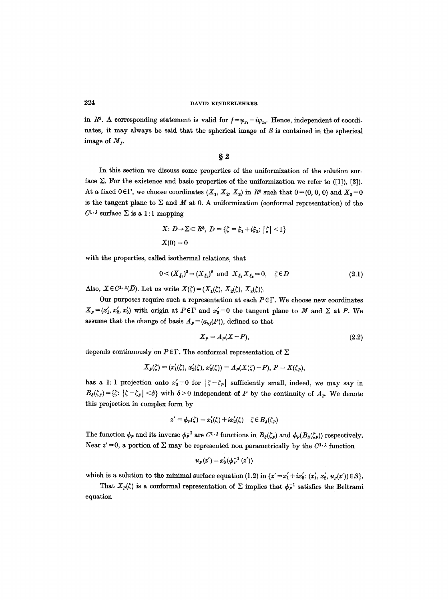in  $R^3$ . A corresponding statement is valid for  $f={\psi}_{x_1}-i{\psi}_{x_2}$ . Hence, independent of coordinates, it may always be said that the spherical image of  $S$  is contained in the spherical image of  $M<sub>I</sub>$ .

**w** 

In this section we discuss some properties of the uniformization of the solution surface  $\Sigma$ . For the existence and basic properties of the uniformization we refer to ([1]), [3]). At a fixed  $0 \in \Gamma$ , we choose coordinates  $(X_1, X_2, X_3)$  in  $R^3$  such that  $0=(0, 0, 0)$  and  $X_3=0$ is the tangent plane to  $\Sigma$  and  $M$  at 0. A uniformization (conformal representation) of the  $C^{1,\lambda}$  surface  $\Sigma$  is a 1:1 mapping

$$
X: D \rightarrow \Sigma \subset R^3, D = \{ \zeta = \xi_1 + i \xi_2 : |\zeta| < 1 \}
$$
\n
$$
X(0) = 0
$$

with the properties, called isothermal relations, that

$$
0 < (X_{\xi_1})^2 = (X_{\xi_2})^2 \quad \text{and} \quad X_{\xi_1} X_{\xi_2} = 0, \quad \zeta \in D \tag{2.1}
$$

Also,  $X \in C^{1} \cdot \lambda(D)$ . Let us write  $X(\zeta) = (X_1(\zeta), X_2(\zeta), X_3(\zeta))$ .

Our purposes require such a representation at each  $P \in \Gamma$ . We choose new coordinates  $X_P = (x'_1, x'_2, x'_3)$  with origin at  $P \in \Gamma$  and  $x'_3 = 0$  the tangent plane to M and  $\Sigma$  at P. We assume that the change of basis  $A<sub>P</sub> = (a<sub>k</sub> (P))$ , defined so that

$$
X_P = A_P(X - P),\tag{2.2}
$$

depends continuously on  $P \in \Gamma$ . The conformal representation of  $\Sigma$ 

$$
X_P(\zeta)=(x_1'(\zeta), x_2'(\zeta), x_3'(\zeta))=A_P(X(\zeta)-P), P=X(\zeta_P),
$$

has a 1:1 projection onto  $x'_3=0$  for  $|\zeta-\zeta_P|$  sufficiently small, indeed, we may say in  $B_{\delta}(\zeta_{P})=\{\zeta: |\zeta-\zeta_{P}|<\delta\}$  with  $\delta>0$  independent of P by the continuity of  $A_{P}$ . We denote this projection in complex form by

$$
z' = \phi_P(\zeta) = x_1'(\zeta) + ix_2'(\zeta) \quad \zeta \in B_{\delta}(\zeta_P)
$$

The function  $\phi_P$  and its inverse  $\phi_P^{-1}$  are  $C^{1,\lambda}$  functions in  $B_{\delta}(\zeta_P)$  and  $\phi_P(B_{\delta}(\zeta_P))$  respectively. Near  $z' = 0$ , a portion of  $\Sigma$  may be represented non parametrically by the  $C^{1, \lambda}$  function

$$
u_P(z') = x'_3(\phi_P^{-1}(z'))
$$

which is a solution to the minimal surface equation (1.2) in  $\{z' = x'_1 + ix'_2 : (x'_1, x'_2, u_P(z')) \in S\}$ .

That  $X_P(\zeta)$  is a conformal representation of  $\Sigma$  implies that  $\phi_P^{-1}$  satisfies the Beltrami equation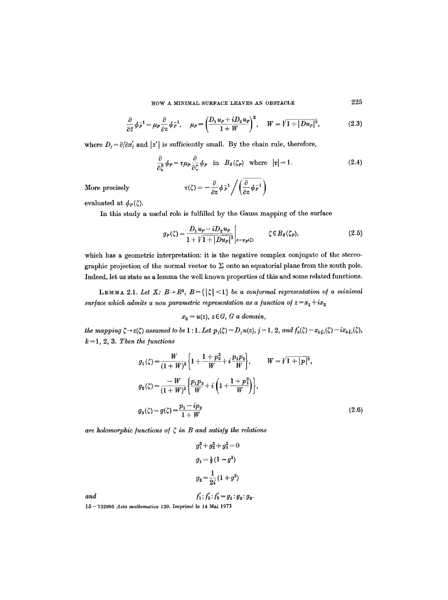HOW A MINIMAL SURFACE LEAVES AN OBSTACLE  $225$ 

$$
\frac{\partial}{\partial \bar{z}} \phi_P^{-1} = \mu_P \frac{\partial}{\partial z} \phi_P^{-1}, \quad \mu_P = \left(\frac{D_1 u_P + i D_2 u_P}{1 + W}\right)^2, \quad W = \sqrt{1 + |Du_P|^2}, \tag{2.3}
$$

where  $D_j = \partial/\partial x'_j$  and  $|z'|$  is sufficiently small. By the chain rule, therefore,

$$
\frac{\partial}{\partial \zeta} \phi_P = \tau \mu_P \frac{\partial}{\partial \zeta} \phi_P \quad \text{in} \quad B_\delta(\zeta_P) \quad \text{where} \quad |\tau| = 1. \tag{2.4}
$$

More precisely

$$
\tau(\zeta) = -\frac{\partial}{\partial z} \phi_P^{-1} / \left( \frac{\overline{\partial}}{\partial z} \phi_P^{-1} \right)
$$

evaluated at  $\phi_P(\zeta)$ .

In this study a useful role is fulfilled by the Gauss mapping of the surface

$$
g_P(\zeta) = \frac{D_1 u_P - i D_2 u_P}{1 + \sqrt{1 + |Du_P|^2}} \bigg|_{z = \varphi_P(\zeta)} \qquad \zeta \in B_{\delta}(\zeta_P), \tag{2.5}
$$

which has a geometric interpretation: it is the negative complex conjugate of the stereographic projection of the normal vector to  $\Sigma$  onto an equatorial plane from the south pole. Indeed, let us state as a lemma the well known properties of this and some related functions.

LEMMA 2.1. Let X:  $B \rightarrow R^3$ ,  $B = \{|\zeta| < 1\}$  be a conformal representation of a minimal *surface which admits a non parametric representation as a function of*  $z = x_1 + ix_2$ 

$$
x_3 = u(z), z \in G, G \text{ a domain},
$$

*the mapping*  $\zeta \rightarrow z(\zeta)$  assumed to be 1 : 1. Let  $p_j(\zeta) = D_j u(z)$ ,  $j = 1, 2$ , and  $f'_k(\zeta) = x_{k \xi_1}(\zeta) - i x_{k \xi_2}(\zeta)$ ,  $k=1, 2, 3$ . Then the functions

$$
g_1(\zeta) = \frac{W}{(1+W)^2} \left\{ 1 + \frac{1+p_2^2}{W} + i \frac{p_1 p_2}{W} \right\}, \qquad W = \sqrt{1+|p|^2},
$$
  
\n
$$
g_2(\zeta) = \frac{-W}{(1+W)^2} \left\{ \frac{p_1 p_2}{W} + i \left( 1 + \frac{1+p_1^2}{W} \right) \right\},
$$
  
\n
$$
g_3(\zeta) = g(\zeta) = \frac{p_1 - ip_2}{1+W} \tag{2.6}
$$

 $\hat{\mathcal{L}}$ 

are holomorphic functions of  $\zeta$  in B and satisfy the relations

$$
g_1^2 + g_2^2 + g_3^2 = 0
$$
  
\n
$$
g_1 = \frac{1}{2}(1 - g^2)
$$
  
\n
$$
g_2 = \frac{1}{2i}(1 + g^2)
$$
  
\nand  
\n
$$
f_1' : f_2' : f_3' = g_1 : g_2 : g_3
$$

 $\sim$   $\sim$ 

 $\hat{A}$ 

15 -- 732905 *Acta mathematica* 130. Imprim6 le 14 Mai 1973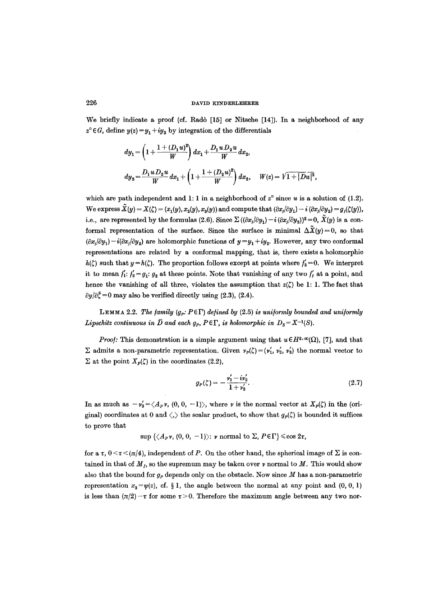We briefly indicate a proof (cf. Radò [15] or Nitsche [14]). In a neighborhood of any  $z^{\circ} \in G$ , define  $y(z) = y_1 + iy_2$  by integration of the differentials

$$
\begin{array}{l} \displaystyle dy_1=\left(1+\frac{1+(D_1u)^2}{W}\right)dx_1+\frac{D_1u\,D_2u}{W}\,dx_2, \\[1.5ex] \displaystyle dy_2=\frac{D_1u\,D_2u}{W}\,dx_1+\left(1+\frac{1+(D_2u)^2}{W}\right)dx_2, \quad W(z)=\sqrt{1+|Du|^2}, \end{array}
$$

which are path independent and 1:1 in a neighborhood of  $z^{\circ}$  since u is a solution of (1.2). We express  $\tilde{X}(y) = X(\zeta) = (x_1(y), x_2(y), x_3(y))$  and compute that  $(\partial x_i/\partial y_1) - i (\partial x_i/\partial y_2) = g_i(\zeta(y)),$ i.e., are represented by the formulas (2.6). Since  $\Sigma((\partial x_i/\partial y_i) - i (\partial x_i/\partial y_i))^2 = 0$ ,  $\tilde{X}(y)$  is a conformal representation of the surface. Since the surface is minimal  $\Delta \tilde{\mathbf{X}}(y)=0$ , so that  $(\partial x_j/\partial y_1) - i(\partial x_j/\partial y_2)$  are holomorphic functions of  $y = y_1 + iy_2$ . However, any two conformal representations are related by a conformal mapping, that is, there exists a holomorphic  $h(\zeta)$  such that  $y = h(\zeta)$ . The proportion follows except at points where  $f'_3 = 0$ . We interpret it to mean  $f'_1$ :  $f'_2 = g_1$ :  $g_2$  at these points. Note that vanishing of any two  $f'_j$  at a point, and hence the vanishing of all three, violates the assumption that  $z(\zeta)$  be 1: 1. The fact that  $\partial y/\partial \zeta = 0$  may also be verified directly using (2.3), (2.4).

LEMMA 2.2. The family  $(g_p: P \in \Gamma)$  defined by (2.5) is uniformly bounded and uniformly *Lipschitz continuous in*  $\bar{D}$  and each  $g_p$ ,  $P \in \Gamma$ , *is holomorphic in*  $D_s = X^{-1}(S)$ .

*Proof:* This demonstration is a simple argument using that  $u \in H^{2,\infty}(\Omega)$ , [7], and that  $\Sigma$  admits a non-parametric representation. Given  $\nu_P(\zeta)=(\nu'_1, \nu'_2, \nu'_3)$  the normal vector to  $\Sigma$  at the point  $X_P(\zeta)$  in the coordinates (2.2),

$$
g_P(\zeta) = -\frac{v_1' - i v_2'}{1 + v_3'}.
$$
 (2.7)

In as much as  $-v'_3 = \langle A_p v, (0, 0, -1) \rangle$ , where v is the normal vector at  $X_p(\zeta)$  in the (original) coordinates at 0 and  $\langle , \rangle$  the scalar product, to show that  $g_P(\zeta)$  is bounded it suffices to prove that

 $\sup \{\langle A_P v, (0, 0, -1)\rangle : v \text{ normal to } \Sigma, P \in \Gamma\} \leqslant \cos 2\tau,$ 

for a  $\tau$ ,  $0 \leq \tau \leq (\pi/4)$ , independent of P. On the other hand, the spherical image of  $\Sigma$  is contained in that of  $M_I$ , so the supremum may be taken over  $\nu$  normal to  $M$ . This would show also that the bound for  $g_p$  depends only on the obstacle. Now since M has a non-parametric representation  $x_3 = \psi(z)$ , cf. § 1, the angle between the normal at any point and (0, 0, 1) is less than  $(\pi/2)-\tau$  for some  $\tau > 0$ . Therefore the maximum angle between any two nor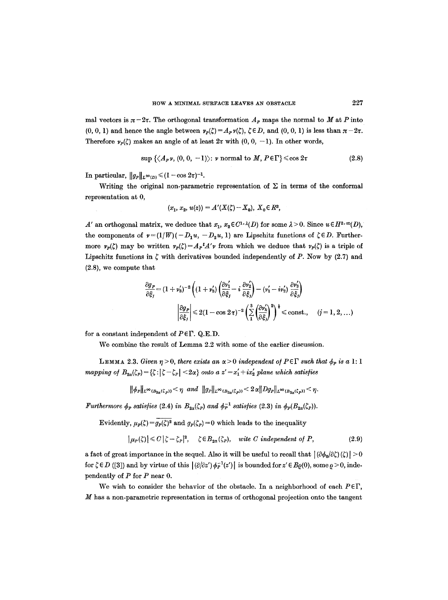mal vectors is  $\pi-2\tau$ . The orthogonal transformation  $A_P$  maps the normal to M at P into  $(0, 0, 1)$  and hence the angle between  $\nu_{p}(\zeta) = A_{p}\nu(\zeta), \zeta \in D$ , and  $(0, 0, 1)$  is less than  $\pi - 2\tau$ . Therefore  $\nu_{p}(\zeta)$  makes an angle of at least  $2\tau$  with  $(0, 0, -1)$ . In other words,

$$
\sup \left\{ \langle A_{P} \nu, (0, 0, -1) \rangle : \nu \text{ normal to } M, P \in \Gamma \right\} \leq \cos 2\tau \tag{2.8}
$$

In particular,  $||g_P||_{L^{\infty}(D)} \leq (1 - \cos 2\tau)^{-1}$ .

Writing the original non-parametric representation of  $\Sigma$  in terms of the conformal representation at 0,

$$
(x_1, x_2, u(z)) = A'(X(\zeta) - X_0), X_0 \in R^3,
$$

A' an orthogonal matrix, we deduce that  $x_1, x_2 \in C^{1, \lambda}(D)$  for some  $\lambda > 0$ . Since  $u \in H^{2, \infty}(D)$ , the components of  $v = (1/W)(-D_1u, -D_2u, 1)$  are Lipschitz functions of  $\zeta \in D$ . Furthermore  $v_p(\zeta)$  may be written  $v_p(\zeta) = A_p{}^t A' \nu$  from which we deduce that  $v_p(\zeta)$  is a triple of Lipschitz functions in  $\zeta$  with derivatives bounded independently of P. Now by (2.7) and (2.8), we compute that

$$
\frac{\partial g_P}{\partial \xi_j} = (1 + v_3')^{-2} \left( (1 + v_3') \left( \frac{\partial v_1'}{\partial \xi_j} - i \frac{\partial v_2'}{\partial \xi_j} \right) - (v_1' - iv_2') \frac{\partial v_3'}{\partial \xi_j} \right)
$$

$$
\left| \frac{\partial g_P}{\partial \xi_j} \right| \leq 2(1 - \cos 2\tau)^{-2} \left( \sum_{i=1}^3 \left( \frac{\partial v_k'}{\partial \xi_j} \right)^2 \right)^{\frac{1}{2}} \leq \text{const.}, \quad (j = 1, 2, \dots)
$$

for a constant independent of  $P \in \Gamma$ . Q.E.D.

We combine the result of Lemma 2.2 with some of the earlier discussion.

**LEMMA** 2.3. *Given*  $\eta > 0$ , *there exists an*  $\alpha > 0$  *independent of*  $P \in \Gamma$  *such that*  $\phi_P$  *is a* 1:1 *mapping of*  $B_{2\alpha}(\zeta_p) = {\zeta : |\zeta - \zeta_p|} < 2\alpha$  *onto a z'* =  $x'_1 + ix'_2$  *plane which satisfies* 

 $\|\phi_P\|_{L^{\infty}(B_{2\alpha}(\zeta_p))} < \eta \text{ and } \|g_P\|_{L^{\infty}(B_{2\alpha}(\zeta_p))} < 2\alpha \|Dg_P\|_{L^{\infty}(B_{2\alpha}(\zeta_p))} < \eta.$ 

*Furthermore*  $\phi_P$  satisfies (2.4) in  $B_{2a}(\zeta_P)$  and  $\phi_P^{-1}$  satisfies (2.3) in  $\phi_P(B_{2a}(\zeta_P)).$ 

Evidently,  $\mu_p(\zeta) = g_p(\zeta)^2$  and  $g_p(\zeta_p) = 0$  which leads to the inequality

$$
|\mu_P(\zeta)| \leq C |\zeta - \zeta_P|^2, \quad \zeta \in B_{2\alpha}(\zeta_P), \quad \text{wite } C \text{ independent of } P,
$$
 (2.9)

a fact of great importance in the sequel. Also it will be useful to recall that  $|(\partial \phi_0/\partial \zeta)(\zeta)| > 0$ for  $\zeta \in D$  ([3]) and by virtue of this  $| \langle \partial \partial z' \rangle \phi_P^{-1}(z') |$  is bounded for  $z' \in B_0(0)$ , some  $\rho > 0$ , independently of  $P$  for  $P$  near  $0$ .

We wish to consider the behavior of the obstacle. In a neighborhood of each  $P \in \Gamma$ ,  $M$  has a non-parametric representation in terms of orthogonal projection onto the tangent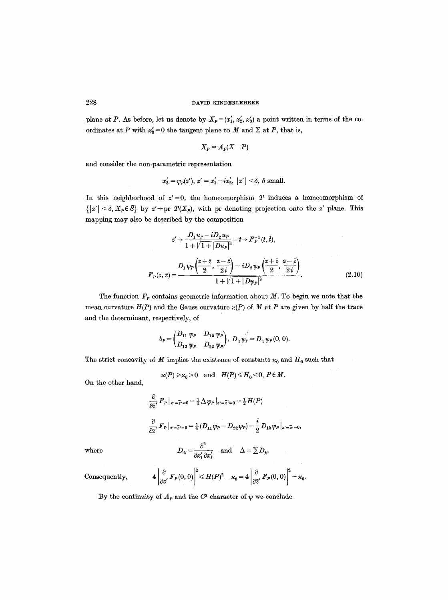plane at P. As before, let us denote by  $X_P = (x'_1, x'_2, x'_3)$  a point written in terms of the coordinates at P with  $x'_3 = 0$  the tangent plane to M and  $\Sigma$  at P, that is,

$$
X_P = A_P(X - P)
$$

and consider the non-parametric representation

$$
x'_3 = \psi_P(z'), \ z' = x'_1 + ix'_2, \ |z'| < \delta, \ \delta \text{ small.}
$$

In this neighborhood of  $z'=0$ , the homeomorphism T induces a homeomorphism of  $\{|z'| \leq \delta, X_p \in \overline{S}\}\$  by  $z' \to pr$  *T(X<sub>p</sub>)*, with pr denoting projection onto the z' plane. This mapping may also be described by the composition

$$
z' \rightarrow \frac{D_1 u_P - i D_2 u_P}{1 + \sqrt{1 + |D u_P|^2}} = t \rightarrow F_P^{-1}(t, t),
$$
  

$$
F_P(z, \bar{z}) = \frac{D_1 \psi_P \left(\frac{z + \bar{z}}{2}, \frac{z - \bar{z}}{2i}\right) - i D_2 \psi_P \left(\frac{z + \bar{z}}{2}, \frac{z - \bar{z}}{2i}\right)}{1 + \sqrt{1 + |D \psi_P|^2}}.
$$
(2.10)

The function  $F_p$  contains geometric information about  $M$ . To begin we note that the mean curvature  $H(P)$  and the Gauss curvature  $\varkappa(P)$  of M at P are given by half the trace and the determinant, respectively, of

$$
b_P = \begin{pmatrix} D_{11} & \psi_P & D_{12} & \psi_P \\ D_{12} & \psi_P & D_{22} & \psi_P \end{pmatrix}, D_{ij} \psi_P = D_{ij} \psi_P(0,0).
$$

The strict concavity of M implies the existence of constants  $\varkappa_0$  and  $H_0$  such that

 $\varkappa(P) \geqslant \varkappa_0>0$  and  $H(P) \leqslant H_0<0, P \in M$ .

On the other hand,

$$
\frac{\partial}{\partial \tilde{z}'} F_P|_{z'=\tilde{z}'=0} = \frac{1}{4} \Delta \psi_P|_{z'=\tilde{z}'=0} = \frac{1}{2} H(P)
$$
  

$$
\frac{\partial}{\partial z'} F_P|_{z'=\tilde{z}'=0} = \frac{1}{4} (D_{11} \psi_P - D_{22} \psi_P) - \frac{i}{2} D_{12} \psi_P|_{z'=\tilde{z}'=0},
$$
  
where  

$$
D_{ij} = \frac{\partial^2}{\partial x'_i \partial x'_j} \quad \text{and} \quad \Delta = \sum D_{jj}.
$$

Consequently, 
$$
4\left|\frac{\partial}{\partial z'}F_P(0,0)\right|^2 \leq H(P)^2 - \varkappa_0 = 4\left|\frac{\partial}{\partial \bar{z}'}F_P(0,0)\right|^2 - \varkappa_0.
$$

By the continuity of  $A<sub>p</sub>$  and the  $C<sup>3</sup>$  character of  $\psi$  we conclude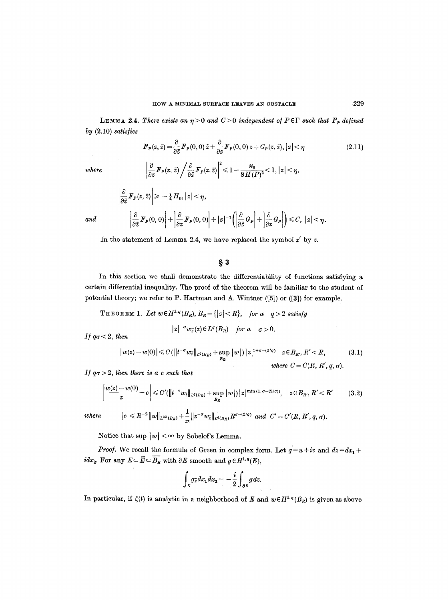LEMMA 2.4. *There exists an*  $\eta > 0$  *and C > 0 independent of PEF such that*  $\mathbf{F}_P$  *defined by* (2.10) *satisfies* 

$$
F_P(z,\bar{z}) = \frac{\partial}{\partial \bar{z}} F_P(0,0) \,\bar{z} + \frac{\partial}{\partial z} F_P(0,0) \,z + G_P(z,\bar{z}), |z| < \eta \tag{2.11}
$$

where 
$$
\left|\frac{\partial}{\partial z} F_P(z,\,\bar{z})\right| \frac{\partial}{\partial \bar{z}} F_P(z,\bar{z})\right|^2 \leq 1 - \frac{\varkappa_0}{8H(P)^2} < 1, |z| < \eta,
$$

$$
\left|\frac{\partial}{\partial \bar{z}} F_P(z,\bar{z})\right| \geq -\frac{1}{4} H_0, |z| < \eta,
$$
\n
$$
and \qquad \left|\frac{\partial}{\partial \bar{z}} F_P(0,0)\right| + \left|\frac{\partial}{\partial z} F_P(0,0)\right| + |z|^{-1} \left(\left|\frac{\partial}{\partial \bar{z}} G_P\right| + \left|\frac{\partial}{\partial z} G_P\right|\right) \leq C, |z| < \eta.
$$

In the statement of Lemma 2.4, we have replaced the symbol  $z'$  by  $z$ .

## **w**

In this section we shall demonstrate the differentiability of functions satisfying a certain differential inequality. The proof of the theorem will be familiar to the student of potential theory; we refer to P. Hartman and A. Wintner ([5]) or ([3]) for example.

THEOREM 1. Let  $w \in H^{1,q}(B_R), B_R = \{|z| < R\}$ , for a  $q > 2$  satisfy

$$
|z|^{-\sigma}w_{\overline{z}}(z)\in L^{q}(B_R) \quad \text{for a} \quad \sigma > 0.
$$

*If*  $q\sigma < 2$ *, then* 

$$
|w(z) - w(0)| \leq C(||t^{-\sigma}w_{\bar{t}}||_{L^{q}(B_R)} + \sup_{B_R} |w|) |z|^{1+\sigma - (2/q)} \quad z \in B_R, R' < R,
$$
\n(3.1)

\nwhere  $C = C(R, R', q, \sigma)$ .

*I] qa > 2, then there is a c such that* 

$$
\left|\frac{w(z)-w(0)}{z}-c\right|\leqslant C'(\left\|t^{-\sigma}w_{\tilde{t}}\right\|_{L^{q}(B_R)}+\sup_{B_R}\left|w\right|)\left|z\right|^{\min(1,\,\sigma-(2/q))},\quad z\in B_R,\,R'
$$

$$
_{\it there}
$$

 $\label{eq:4.1} where \qquad \quad |c| \leqslant R^{-2}\|w\|_{L^{\infty}(B_R)} + \frac{1}{\pi}\|z^{-\sigma}w_{\bar z}\|_{L^q(B_R)}R^{\sigma-(2/q)} \ \ and \ \ C'=C'(R,R',q,\sigma).$ 

Notice that  $\sup |w| < \infty$  by Sobelof's Lemma.

*Proof.* We recall the formula of Green in complex form. Let  $g=u+iv$  and  $dz = dx_1 + dy_2$  $idx_2$ . For any  $E \subseteq \overline{E} \subseteq \overline{B_R}$  with  $\partial E$  smooth and  $g \in H^{1,q}(E)$ ,

$$
\int_E g_{\overline{z}} dx_1 dx_2 = -\frac{i}{2} \int_{\partial E} g dz.
$$

In particular, if  $\zeta(t)$  is analytic in a neighborhood of E and  $w \in H^{1,q}(B_R)$  is given as above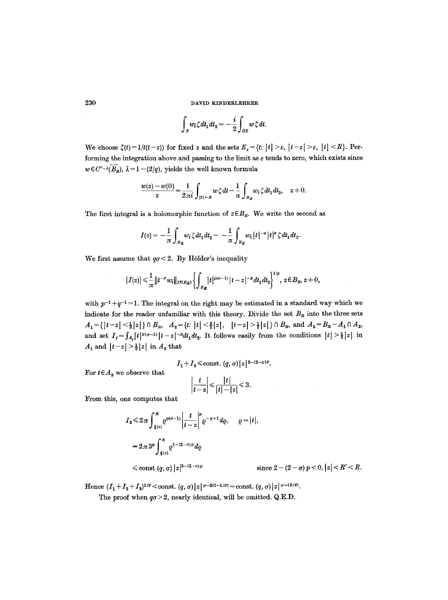$$
\int_E w_{\tilde{t}} \zeta dt_1 dt_2 = -\frac{i}{2} \int_{\partial E} w \zeta dt.
$$

We choose  $\zeta(t) = 1/t(t-z)$  for fixed z and the sets  $E_{\varepsilon} = \{t: |t| > \varepsilon, |t-z| > \varepsilon, |t| < R\}$ . Performing the integration above and passing to the limit as  $\varepsilon$  tends to zero, which exists since  $w \in C^{\circ} \cdot \lambda(\overline{B_R})$ ,  $\lambda = 1 - (2/q)$ , yields the well known formula

$$
\frac{w(z)-w(0)}{z}=\frac{1}{2\pi i}\int_{|t|=R}w\,\zeta\,dt-\frac{1}{\pi}\int_{B_R}w_{\tilde{t}}\,\zeta\,dt_1dt_2,\quad z\neq 0.
$$

The first integral is a holomorphic function of  $z \in B_R$ . We write the second as

$$
I(z)=-\frac{1}{\pi}\int_{B_R}w_{\tilde{t}}\zeta dt_1dt_2=-\frac{1}{\pi}\int_{B_R}w_{\tilde{t}}|t|^{-\sigma}|t|^{\sigma}\zeta dt_1dt_2.
$$

We first assume that  $q\sigma < 2$ . By Hölder's inequality

$$
|I(z)| \leq \frac{1}{\pi} ||t^{-\sigma} w_i||_{L^q(B_R)} \left\{ \int_{B_R} |t|^{p(\sigma-1)} |t-z|^{-p} dt_1 dt_2 \right\}^{\frac{1}{p}} , z \in B_R, z \neq 0,
$$

with  $p^{-1} + q^{-1} = 1$ . The integral on the right may be estimated in a standard way which we indicate for the reader unfamiliar with this theory. Divide the set  $B<sub>R</sub>$  into the three sets  $A_1 = \{ |t-z| < \frac{1}{2} |z| \} \cap B_R, \quad A_2 = \{ t: |t| < \frac{3}{2} |z|, \quad |t-z| > \frac{1}{2} |z| \} \cap B_R, \text{ and } A_3 = B_R - A_1 \cap A_2,$ and set  $I_j = \int_{A_j} |t|^{p(\sigma-1)} |t-z|^{-p} dt_1 dt_2$ . It follows easily from the conditions  $|t| > \frac{1}{2} |z|$  in  $A_1$  and  $|t-z|>\frac{1}{2}|z|$  in  $A_2$  that

$$
I_1+I_2 \le \text{const. } (q,\sigma) |z|^{2-(2-\sigma)p}.
$$

For  $t \in A_3$  we observe that

 $\beta \rightarrow \beta$ 

$$
\left|\frac{t}{t-z}\right| \leqslant \frac{|t|}{|t|-|z|} \leqslant 3.
$$

From this, one computes that

$$
I_3 \leq 2\pi \int_{\frac{3}{2}|z|}^R e^{p(\sigma-1)} \left| \frac{t}{t-z} \right|^p e^{-p+1} d\varrho, \quad \varrho = |t|,
$$
  
=  $2\pi 3^p \int_{\frac{3}{2}|z|}^R e^{1-(2-\sigma)p} d\varrho$   
 $\leq \text{const } (q, \sigma) |z|^{2-(2-\sigma)p}$   $\text{sin}$ 

 $\text{ence } 2 - (2 - \sigma) p < 0, |z| < R' < R.$ 

**Hence**  $(I_1 + I_2 + I_3)^{1/p} <$ const.  $(q, \sigma) |z|^{q-2(1-1/p)} =$ const.  $(q, \sigma) |z|^{q-(2/q)}$ .

The proof when  $q\sigma > 2$ , nearly identical, will be omitted. Q.E.D.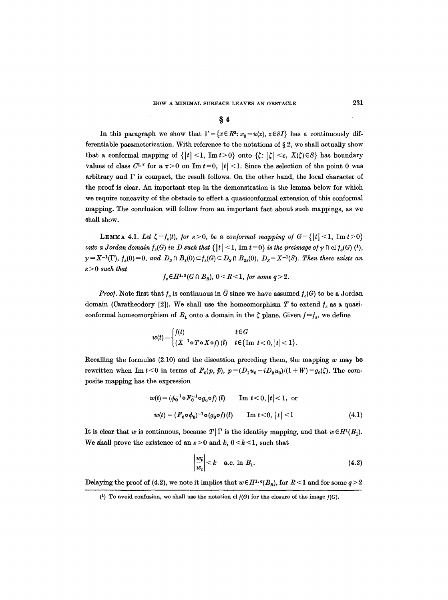### **w**

In this paragraph we show that  $\Gamma = \{x \in \mathbb{R}^3 : x_3 = u(z), z \in \partial I\}$  has a continuously differentiable parameterization. With reference to the notations of  $\S 2$ , we shall actually show that a conformal mapping of  $\{|t| < 1$ , Im  $t > 0\}$  onto  $\{\zeta : |\zeta| < \varepsilon$ ,  $X(\zeta) \in S\}$  has boundary values of class  $C^{1,\tau}$  for a  $\tau > 0$  on Im  $t=0$ ,  $|t| < 1$ . Since the selection of the point 0 was arbitrary and  $\Gamma$  is compact, the result follows. On the other hand, the local character of the proof is clear. An important step in the demonstration is the lemma below for which we require concavity of the obstacle to effect a quasiconformal extension of this conformal mapping. The conclusion will follow from an important fact about such mappings, as we shall show.

**LEMMA 4.1.** *Let*  $\zeta = f_s(t)$ , *for*  $\epsilon > 0$ , *be a conformal mapping of*  $G = \{ |t| < 1, \text{Im } t > 0 \}$ *onto a Jordan domain*  $f_e(G)$  in D such that  $\{|t| < 1$ , Im  $t = 0\}$  is the preimage of  $\gamma \cap \text{cl } f_e(G)$   $\binom{1}{r}$ ,  $\gamma = X^{-1}(\Gamma)$ ,  $f_{\varepsilon}(0) = 0$ , and  $D_S \cap B_{\varepsilon}(0) \subset f_{\varepsilon}(G) \subset D_S \cap B_{2\varepsilon}(0)$ ,  $D_S = X^{-1}(S)$ . Then there exists an *e > 0 such that* 

 $f_{s} \in H^{1,q}(G \cap B_{R}), 0 \leq R \leq 1$ , for some  $q > 2$ .

*Proof.* Note first that  $f_e$  is continuous in  $\overline{G}$  since we have assumed  $f_e(G)$  to be a Jordan domain (Caratheodory [2]). We shall use the homeomorphism T to extend  $f_{\varepsilon}$  as a quasiconformal homeomorphism of  $B_1$  onto a domain in the  $\zeta$  plane. Given  $f = f_{\varepsilon}$ , we define

$$
w(t) = \begin{cases} f(t) & t \in G \\ (X^{-1} \circ T \circ X \circ f) & t \in \{\text{Im } t < 0, |t| < 1\}. \end{cases}
$$

Recalling the formulas  $(2.10)$  and the discussion preceding them, the mapping w may be rewritten when Im  $t < 0$  in terms of  $F_0(p, \bar{p}), p = (D_1u_0 - iD_2u_0)/(1 + W) = g_0(\zeta)$ . The composite mapping has the expression

$$
w(t) = (\phi_0^{-1} \circ F_0^{-1} \circ g_0 \circ f) (t) \qquad \text{Im } t < 0, |t| < 1, \text{ or}
$$
  

$$
w(t) = (F_0 \circ \phi_0)^{-1} \circ (g_0 \circ f) (t) \qquad \text{Im } t < 0, |t| < 1
$$
 (4.1)

It is clear that w is continuous, because  $T|\Gamma$  is the identity mapping, and that  $w \in H^1(B_1)$ . We shall prove the existence of an  $\varepsilon > 0$  and k,  $0 < k < 1$ , such that

$$
\left|\frac{w_i}{w_t}\right| < k \quad \text{a.e. in } B_1. \tag{4.2}
$$

Delaying the proof of (4.2), we note it implies that  $w \in H^{1,q}(B_R)$ , for  $R < 1$  and for some  $q > 2$ 

<sup>(1)</sup> To avoid confusion, we shall use the notation cl  $f(G)$  for the closure of the image  $f(G)$ .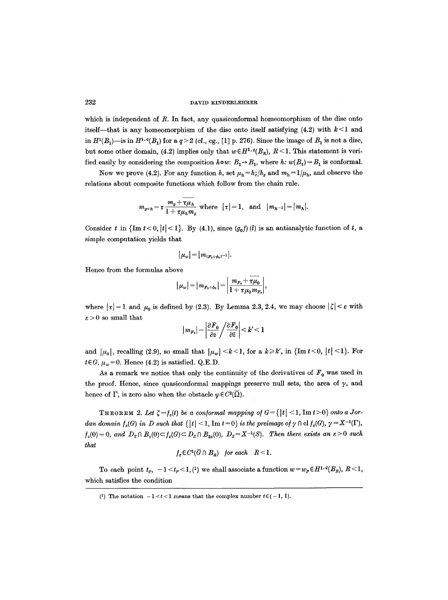which is independent of R. In fact, any quasiconformal homeomorphism of the disc onto itself—that is any homeomorphism of the disc onto itself satisfying (4.2) with  $k < 1$  and in  $H^1(B_1)$ —is in  $H^{1,q}(B_1)$  for a  $q>2$  (cf., eg., [1] p. 276). Since the image of  $B_1$  is not a disc, but some other domain, (4.2) implies only that  $w \in H^{1,q}(B_R)$ ,  $R < 1$ . This statement is verified easily by considering the composition  $h \circ w$ :  $B_1 \rightarrow B_1$ , where  $h$ :  $w(B_1) \rightarrow B_1$  is conformal.

Now we prove (4.2). For any function h, set  $\mu_h = h_z/h_z$  and  $m_h = 1/\mu_h$ , and observe the relations about composite functions which follow from the chain rule.

$$
m_{g \circ h} = \tau \frac{m_g + \overline{\tau \mu_h}}{1 + \tau \mu_h m_g}
$$
 where  $|\tau| = 1$ , and  $|m_{h-1}| = |m_h|$ .

Consider t in  $\{\text{Im }t < 0, |t| < 1\}$ . By (4.1), since  $(g_0 f)(i)$  is an antianalytic function of t, a simple computation yields that

$$
|\mu_w|=|m_{(F_0\circ\phi_0)^{-1}}|.
$$

Hence from the formulas above

$$
|\mu_w| = |m_{F_0 \circ \phi_0}| = \left| \frac{m_{F_0} + \tau \mu_0}{1 + \tau \mu_0 m_{F_0}} \right|,
$$

where  $|\tau|=1$  and  $\mu_0$  is defined by (2.3). By Lemma 2.3, 2.4, we may choose  $|\zeta| < \varepsilon$  with  $\varepsilon > 0$  so small that

$$
\big|\, m_{F_0} \big| = \bigg| \frac{\partial F_0}{\partial z} \bigg/ \frac{\partial F_0}{\partial \bar{z}} \bigg| < k' < 1
$$

and  $|\mu_0|$ , recalling (2.9), so small that  $|\mu_w| < k < 1$ , for a  $k \geq k'$ , in {Im  $t < 0$ ,  $|t| < 1$ }. For  $t \in G$ ,  $\mu_w = 0$ . Hence (4.2) is satisfied. Q.E.D.

As a remark we notice that only the continuity of the derivatives of  $F_0$  was used in the proof. Hence, since quasiconformal mappings preserve null sets, the area of  $\gamma$ , and hence of  $\Gamma$ , is zero also when the obstacle  $\psi \in C^2(\overline{\Omega})$ .

THEOREM 2. Let  $\zeta = f_s(t)$  be a conformal mapping of  $G = \{ |t| < 1, \text{Im } t > 0 \}$  onto a Jor*dan domain*  $f_s(G)$  in D such that  $\{|t| < 1$ , Im  $t = 0\}$  is the preimage of  $\gamma \cap \text{cl } f_s(G)$ ,  $\gamma = X^{-1}(\Gamma)$ ,  $f_{\varepsilon}(0) = 0$ , and  $D_{\varepsilon} \cap B_{\varepsilon}(0) \subset f_{\varepsilon}(G) \subset D_{\varepsilon} \cap B_{2\varepsilon}(0)$ ,  $D_{\varepsilon} = X^{-1}(S)$ . Then there exists an  $\varepsilon > 0$  such *that* 

$$
f_{\varepsilon} \in C^1(\overline{G} \cap B_R)
$$
 for each  $R < 1$ .

To each point  $t_p$ ,  $-1 \lt t_p \lt 1$ , (1) we shall associate a function  $w = w_p \in H^{1,q}(B_R)$ ,  $R \lt 1$ , which satisfies the condition

<sup>(1)</sup> The notation  $-1 < t < 1$  means that the complex number  $t \in (-1, 1)$ .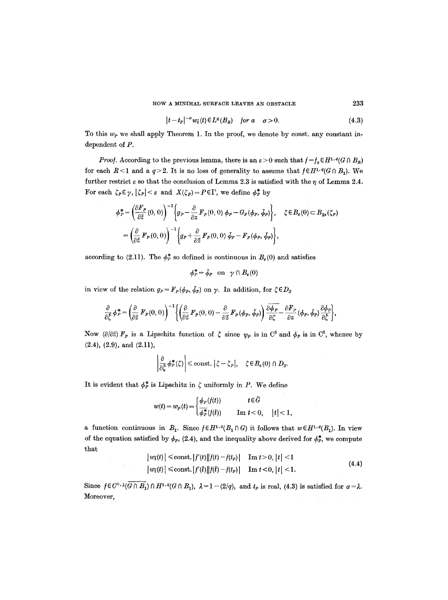$$
|t-t_P|^{-\sigma} w_{\bar{t}}(t) \in L^{\sigma}(B_R) \quad \text{for } a \quad \sigma > 0. \tag{4.3}
$$

To this  $w<sub>P</sub>$  we shall apply Theorem 1. In the proof, we denote by const, any constant independent of P.

*Proof.* According to the previous lemma, there is an  $\varepsilon > 0$  such that  $f = f_{\varepsilon} \in H^{1,q}(G \cap B_R)$ for each  $R<1$  and a  $q>2$ . It is no loss of generality to assume that  $f \in H^{1,q}(G \cap B_1)$ . We further restrict  $\varepsilon$  so that the conclusion of Lemma 2.3 is satisfied with the  $\eta$  of Lemma 2.4. For each  $\zeta_P \in \gamma$ ,  $|\zeta_P| < \varepsilon$  and  $X(\zeta_P) = P \in \Gamma$ , we define  $\phi_P^*$  by

$$
\phi_P^* = \left(\frac{\partial F_P}{\partial \bar{z}}(0,0)\right)^{-1} \left\{ g_P - \frac{\partial}{\partial z} F_P(0,0) \phi_P - G_P(\phi_P, \phi_P) \right\}, \quad \zeta \in B_{\varepsilon}(0) \subset B_{2\varepsilon}(\zeta_P)
$$

$$
= \left(\frac{\partial}{\partial \bar{z}} F_P(0,0)\right)^{-1} \left\{ g_P + \frac{\partial}{\partial \bar{z}} F_P(0,0) \phi_P - F_P(\phi_P, \phi_P) \right\},
$$

according to (2.11). The  $\phi_P^*$  so defined is continuous in  $B_{\epsilon}(0)$  and satisfies

 $\phi_P^* = \bar{\phi}_P$  on  $\gamma \cap B_{\varepsilon}(0)$ 

in view of the relation  $g_P = F_P(\phi_P, \phi_P)$  on  $\gamma$ . In addition, for  $\zeta \in D_S$ 

$$
\frac{\partial}{\partial \xi} \phi_P^* = \left( \frac{\partial}{\partial \bar{z}} \, F_P(0,0) \right)^{-1} \left\{ \left( \frac{\partial}{\partial \bar{z}} \, F_P(0,0) - \frac{\partial}{\partial \bar{z}} \, F_P(\phi_P,\phi_P) \right) \frac{\partial \overline{\phi_P}}{\partial \zeta} - \frac{\partial F_P}{\partial z} (\phi_P,\phi_P) \frac{\partial \phi_P}{\partial \bar{\zeta}} \right\},\,
$$

Now  $(\partial/\partial \tilde{z}) F_p$  is a Lipschitz function of  $\zeta$  since  $\psi_p$  is in  $C^3$  and  $\phi_p$  is in  $C^1$ , whence by (2.4), (2.9), and (2.11),

$$
\left|\frac{\partial}{\partial \bar{\zeta}} \phi^*_{P}(\zeta)\right| \leq \text{const.} \left|\zeta - \zeta_{P}\right|, \quad \zeta \in B_{\varepsilon}(0) \cap D_{S}.
$$

It is evident that  $\phi^*_{P}$  is Lipschitz in  $\zeta$  uniformly in P. We define

 $\sim 10^7$ 

$$
w(t) = w_P(t) = \begin{cases} \phi_P(f(t)) & t \in \bar{G} \\ \overline{\phi_P^*}(f(\bar{t})) & \text{Im } t < 0, \quad |t| < 1, \end{cases}
$$

a function continuous in  $B_1$ . Since  $f \in H^{1,q}(B_1 \cap G)$  it follows that  $w \in H^{1,q}(B_1)$ . In view of the equation satisfied by  $\phi_P$ , (2.4), and the inequality above derived for  $\phi_P^*$ , we compute that

$$
|w_{\bar{t}}(t)| \le \text{const.} |f'(t)||f(t) - f(t_p)| \quad \text{Im } t > 0, |t| < 1
$$
  

$$
|w_{\bar{t}}(t)| \le \text{const.} |f'(t)||f(t) - f(t_p)| \quad \text{Im } t < 0, |t| < 1.
$$
 (4.4)

Since  $f \in C^{\circ} \cdot \lambda(\overline{G \cap B_1}) \cap H^{1,q}(G \cap B_1)$ ,  $\lambda = 1 - (2/q)$ , and  $t_p$  is real, (4.3) is satisfied for  $\sigma = \lambda$ . Moreover,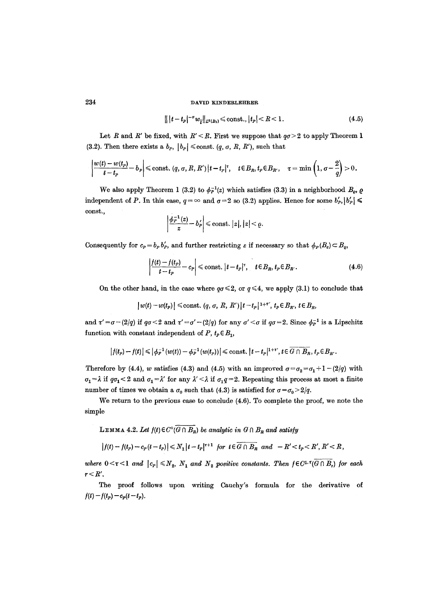$$
\| |t - t_p|^{-\sigma} w_{\overline{t}} \|_{L^q(B_1)} \leq \text{const.}, |t_p| < R < 1. \tag{4.5}
$$

Let R and R' be fixed, with  $R' < R$ . First we suppose that  $q\sigma > 2$  to apply Theorem 1 (3.2). Then there exists a  $b_p$ ,  $|b_p| \le \text{const.}$   $(q, \sigma, R, R')$ , such that

$$
\left|\frac{w(t)-w(t_p)}{t-t_p}-b_p\right|\leqslant \text{const.} \ (q,\sigma,R,R')\left|t-t_p\right|^\tau,\quad t\in B_R,\, t_p\in B_{R'},\quad \tau=\min\left(1,\sigma-\frac{2}{q}\right)>0.
$$

We also apply Theorem 1 (3.2) to  $\phi_P^{-1}(z)$  which satisfies (3.3) in a neighborhood  $B_o$ ,  $\rho$ independent of P. In this case,  $q = \infty$  and  $q = 2$  so (3.2) applies. Hence for some  $b'_P$ ,  $|b'_P| \le$ const.,

$$
\left|\frac{\phi_P^{-1}(z)}{z}-b'_P\right|\leqslant \text{const.}\;|z|,|z|<\varrho.
$$

Consequently for  $c_p = b_p b'_p$ , and further restricting  $\varepsilon$  if necessary so that  $\phi_p(B_\varepsilon) \subset B_q$ ,

$$
\left|\frac{f(t)-f(t_P)}{t-t_P}-c_P\right| \leq \text{const. } |t-t_P|^{\tau}, \quad t \in B_R, t_P \in B_{R'}.
$$
\n(4.6)

On the other hand, in the case where  $q\sigma \leq 2$ , or  $q \leq 4$ , we apply (3.1) to conclude that

$$
|w(t)-w(t_P)| \le \text{const.} \ (q, \sigma, R, R') |t-t_P|^{1+\tau'}, \ t_P \in B_{R'}, \ t \in B_R,
$$

and  $\tau'=\sigma-(2/q)$  if  $q\sigma<2$  and  $\tau'=\sigma'-(2/q)$  for any  $\sigma' < \sigma$  if  $q\sigma=2$ . Since  $\phi_P^{-1}$  is a Lipschitz function with constant independent of P,  $t_P \in B_1$ ,

$$
\left|f(t_p)-f(t)\right|\leqslant \left|\phi_P^{-1}\left(w(t)\right)-\phi_P^{-1}\left(w(t_p)\right)\right|\leqslant{\rm const.}\left|t-t_p\right|^{1+\tau'},t\in\overline{G\cap B_R},\,t_p\!\in\!B_R.
$$

Therefore by (4.4), w satisfies (4.3) and (4.5) with an improved  $\sigma = \sigma_2 = \sigma_1 + 1 - (2/q)$  with  $\sigma_1 = \lambda$  if  $q\sigma_1 < 2$  and  $\sigma_1 = \lambda'$  for any  $\lambda' < \lambda$  if  $\sigma_1 q = 2$ . Repeating this process at most a finite number of times we obtain a  $\sigma_0$  such that (4.3) is satisfied for  $\sigma = \sigma_0 > 2/q$ .

We return to the previous case to conclude (4.6). To complete the proof, we note the simple

## **LEMMA 4.2.** Let  $f(t) \in C^\circ(\overline{G \cap B_R})$  be analytic in  $G \cap B_R$  and satisfy

$$
\left|f(t)-f(t_P)-c_P(t-t_P)\right|\leq N_1\left|t-t_P\right|^{r+1} \text{ for } t\in\overline{G\cap B_R} \text{ and } -R'
$$

*where*  $0 \lt \tau \lt 1$  *and*  $|c_p| \leq N_2$ ,  $N_1$  *and*  $N_2$  *positive constants. Then*  $f \in C^{1,\tau}(\overline{G \cap B_r})$  *for each*  $r < R'$ .

The proof follows upon writing Cauchy's formula for the derivative of  $f(t)-f(t_{P})-c_{P}(t-t_{P}).$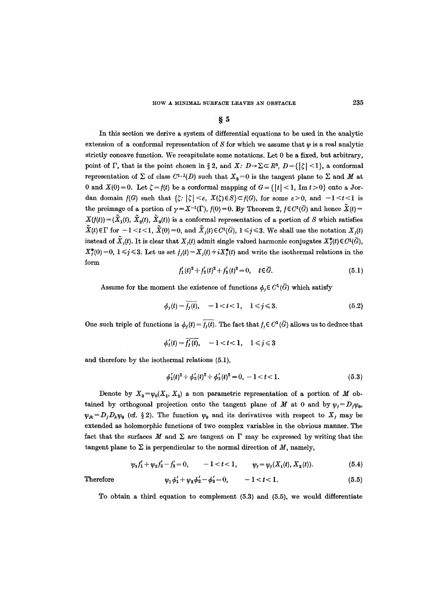## **w**

In this section we derive a system of differential equations to be used in the analytic extension of a conformal representation of S for which we assume that  $w$  is a real analytic strictly concave function. We recapitulate some notations. Let 0 be a fixed, but arbitrary, point of  $\Gamma$ , that is the point chosen in § 2, and *X*:  $D \rightarrow \Sigma \subset R^3$ ,  $D = \{|\zeta| < 1\}$ , a conformal representation of  $\Sigma$  of class  $C^{1,2}(D)$  such that  $X_3=0$  is the tangent plane to  $\Sigma$  and M at 0 and  $X(0) = 0$ . Let  $\zeta = f(t)$  be a conformal mapping of  $G = \{ |t| < 1, \text{Im } t > 0 \}$  onto a Jordan domain  $f(G)$  such that  $\{\zeta: |\zeta| < \varepsilon, X(\zeta) \in S\} \subset f(G)$ , for some  $\varepsilon > 0$ , and  $-1 < t < 1$  is the preimage of a portion of  $\gamma = X^{-1}(\Gamma)$ ,  $f(0) = 0$ . By Theorem 2,  $f \in C^{1}(\overline{G})$  and hence  $\widetilde{X}(t) =$  $X(f(t)) = (\tilde{X}_1(t), \tilde{X}_2(t), \tilde{X}_3(t))$  is a conformal representation of a portion of S which satisfies  $\tilde{X}(t) \in \Gamma$  for  $-1 < t < 1$ ,  $\tilde{X}(0) = 0$ , and  $\tilde{X}_j(t) \in C^1(\bar{G})$ ,  $1 \leq j \leq 3$ . We shall use the notation  $X_j(t)$ instead of  $\tilde{X}_i(t)$ . It is clear that  $X_i(t)$  admit single valued harmonic conjugates  $X_i^*(t) \in C^1(\overline{G})$ ,  $X_{j}^{*}(0) = 0, 1 \leq j \leq 3$ . Let us set  $f_{j}(t) = X_{j}(t) + iX_{j}^{*}(t)$  and write the isothermal relations in the form

$$
f_1'(t)^2 + f_2'(t)^2 + f_3'(t)^2 = 0, \quad t \in \overline{G}.
$$
 (5.1)

Assume for the moment the existence of functions  $\phi_i \in C^1(\overline{G})$  which satisfy

$$
\phi_j(t) = \overline{f_j(t)}, \quad -1 < t < 1, \quad 1 \le j \le 3.
$$
\n(5.2)

One such triple of functions is  $\phi_i(t) = \overline{f_i(t)}$ . The fact that  $f_i \in C^1(\overline{G})$  allows us to deduce that

$$
\phi_j'(t) = \overline{f_j'(t)}, \quad -1 < t < 1, \quad 1 \leqslant j \leqslant 3
$$

and therefore by the isothermal relations (5.1),

$$
\phi_1'(t)^2 + \phi_2'(t)^2 + \phi_3'(t)^2 = 0, -1 < t < 1.
$$
\n(5.3)

Denote by  $X_3 = \psi_0(X_1, X_2)$  a non parametric representation of a portion of M obtained by orthogonal projection onto the tangent plane of M at 0 and by  $\psi_j=D_j\psi_0$ ,  $\psi_{jk}=D_jD_k\psi_0$  (cf. § 2). The function  $\psi_0$  and its derivatives with respect to  $X_j$  may be extended as holomorphie functions of two complex variables in the obvious manner. The fact that the surfaces  $M$  and  $\Sigma$  are tangent on  $\Gamma$  may be expressed by writing that the tangent plane to  $\Sigma$  is perpendicular to the normal direction of  $M$ , namely,

$$
\psi_1 f_1' + \psi_2 f_2' - f_3' = 0, \qquad -1 < t < 1, \qquad \psi_j = \psi_j(X_1(t), X_2(t)). \tag{5.4}
$$

Therefore 
$$
\psi_1 \phi_1' + \psi_2 \phi_2' - \phi_3' = 0, \qquad -1 < t < 1.
$$
 (5.5)

To obtain a third equation to complement (5.3) and (5.5), we would differentiate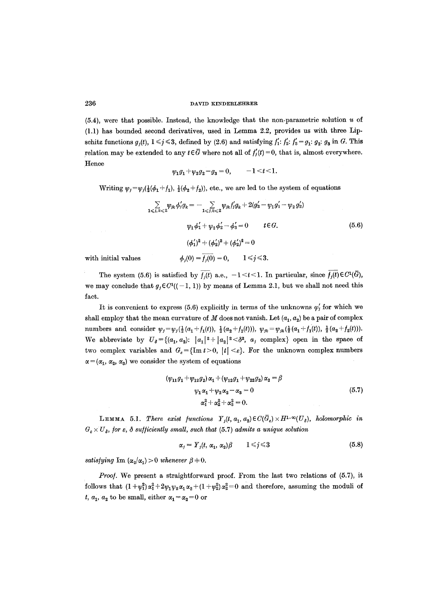$(5.4)$ , were that possible. Instead, the knowledge that the non-parametric solution u of (1.1) has bounded second derivatives, used in Lemma 2.2, provides us with three Lipschitz functions  $g_i(t)$ ,  $1 \leq j \leq 3$ , defined by (2.6) and satisfying  $f'_1$ :  $f'_2$ :  $f'_3 = g_1$ :  $g_2$ :  $g_3$  in G. This relation may be extended to any  $t \in \overline{G}$  where not all of  $f'_{i}(t) = 0$ , that is, almost everywhere. Hence

$$
\psi_1 g_1 + \psi_2 g_2 - g_3 = 0, \qquad -1 < t < 1
$$

Writing  $\psi_j = \psi_j(\frac{1}{2}(\phi_1 + f_1), \frac{1}{2}(\phi_2 + f_2))$ , etc., we are led to the system of equations

$$
\sum_{1 \leq j,k \leq 2} \psi_{jk} \phi'_j g_k = -\sum_{1 \leq j,k \leq 2} \psi_{jk} f'_j g_k + 2(g'_3 - \psi_1 g'_1 - \psi_2 g'_2)
$$
  

$$
\psi_1 \phi'_1 + \psi_2 \phi'_2 - \phi'_3 = 0 \qquad t \in G.
$$
  

$$
(\phi'_1)^2 + (\phi'_2)^2 + (\phi'_2)^2 = 0
$$
  
with initial values  $\phi_j(0) = \overline{f_j(0)} = 0, \qquad 1 \leq j \leq 3.$  (5.6)

The system (5.6) is satisfied by  $\overline{f_i(t)}$  a.e.,  $-1 < t < 1$ . In particular, since  $\overline{f_i(t)} \in C^1(\overline{G})$ , we may conclude that  $g_i \in C^1((-1, 1))$  by means of Lemma 2.1, but we shall not need this fact.

It is convenient to express (5.6) explicitly in terms of the unknowns  $\varphi'_{i}$  for which we shall employ that the mean curvature of M does not vanish. Let  $(a_1, a_2)$  be a pair of complex numbers and consider  $\psi_j = \psi_j (\frac{1}{2} (a_1 + f_1(t)), \frac{1}{2} (a_2 + f_2(t))), \psi_{jk} = \psi_{jk} (\frac{1}{2} (a_1 + f_1(t)), \frac{1}{2} (a_2 + f_2(t))).$ We abbreviate by  $U_{\delta} = \{(a_1, a_2): |a_1|^2 + |a_2|^2 < \delta^2, a_j \text{ complex}\}\)$  open in the space of two complex variables and  $G_{\varepsilon} = {\text{Im } t > 0, |t| < \varepsilon}.$  For the unknown complex numbers  $\alpha = (\alpha_1, \alpha_2, \alpha_3)$  we consider the system of equations

$$
(\psi_{11}g_1 + \psi_{12}g_2) \alpha_1 + (\psi_{12}g_1 + \psi_{22}g_2) \alpha_2 = \beta
$$
  
\n
$$
\psi_1 \alpha_1 + \psi_2 \alpha_2 - \alpha_3 = 0
$$
  
\n
$$
\alpha_1^2 + \alpha_2^2 + \alpha_3^2 = 0.
$$
\n(5.7)

LEMMA 5.1. There exist functions  $Y_{j}(t, a_{1}, a_{2})\in C(G_{\varepsilon})\times H^{1-\infty}(U_{\delta}),$  holomorphic in  $G_{\varepsilon} \times U_{\delta}$ , for  $\varepsilon$ ,  $\delta$  sufficiently small, such that (5.7) admits a unique solution

$$
\alpha_j = Y_j(t, \alpha_1, \alpha_2) \beta \qquad 1 \leq j \leq 3 \tag{5.8}
$$

*satisfying*  $\text{Im } (\alpha_2/\alpha_1) > 0$  *whenever*  $\beta \neq 0$ .

*Proo].* We present a straightforward proof. From the last two relations of (5.7), it follows that  $(1 + \psi_1^2) \alpha_1^2 + 2\psi_1 \psi_2 \alpha_1 \alpha_2 + (1 + \psi_2^2) \alpha_2^2 = 0$  and therefore, assuming the moduli of t,  $a_1$ ,  $a_2$  to be small, either  $\alpha_1 = \alpha_2 = 0$  or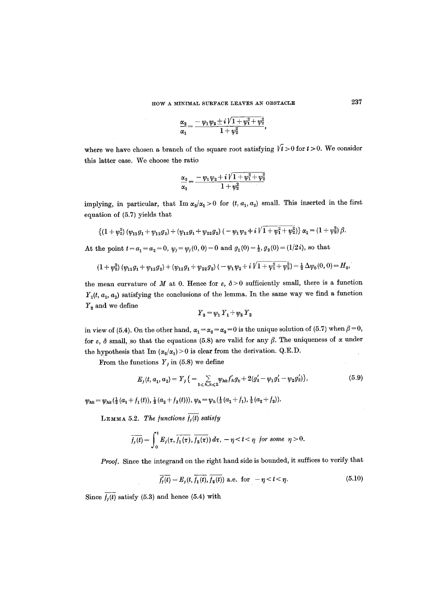$$
\frac{\alpha_2}{\alpha_1} = \frac{-\psi_1\psi_2 \pm i\,V \, 1 + \psi_1^2 + \psi_2^2}{1 + \psi_2^2},
$$

where we have chosen a branch of the square root satisfying  $\sqrt{t} > 0$  for  $t > 0$ . We consider this latter case. We choose the ratio

$$
\frac{\alpha_2}{\alpha_1} = \frac{-\,\psi_1\psi_2 + i\,V\,1 + \psi_1^2 + \psi_2^2}{1 + \psi_2^2}
$$

implying, in particular, that  $\text{Im }\alpha_2/\alpha_1>0$  for  $(t, a_1, a_2)$  small. This inserted in the first equation of (5.7) yields that

$$
\{(1+\psi_2^2)(\psi_{11}g_1+\psi_{12}g_2)+(\psi_{12}g_1+\psi_{22}g_2)(-\psi_1\psi_2+i\dot{V}1+\psi_1^2+\psi_2^2)\}\alpha_1=(1+\psi_2^2)\beta.
$$

At the point  $t = a_1 = a_2 = 0$ ,  $\psi_j = \psi_j(0, 0) = 0$  and  $g_1(0) = \frac{1}{2}$ ,  $g_2(0) = (1/2i)$ , so that

$$
(1+\psi_2^2)(\psi_{11}g_1+\psi_{12}g_2)+(\psi_{12}g_1+\psi_{22}g_2)(-\psi_1\psi_2+i\sqrt{1+\psi_1^2+\psi_2^2})=\frac{1}{2}\Delta\psi_0(0,0)=H_0,
$$

the mean curvature of M at 0. Hence for  $\varepsilon$ ,  $\delta$  > 0 sufficiently small, there is a function  $Y_1(t, a_1, a_2)$  satisfying the conclusions of the lemma. In the same way we find a function  $Y_2$  and we define

$$
\, \, Y_3 = \psi_1 \, Y_1 + \psi_2 \, Y_2
$$

in view of (5.4). On the other hand,  $\alpha_1 = \alpha_2 = \alpha_3 = 0$  is the unique solution of (5.7) when  $\beta = 0$ , for  $\varepsilon$ ,  $\delta$  small, so that the equations (5.8) are valid for any  $\beta$ . The uniqueness of  $\alpha$  under the hypothesis that Im  $(\alpha_2/\alpha_1)>0$  is clear from the derivation. Q.E.D.

From the functions  $Y_j$  in (5.8) we define

$$
E_j(t, a_1, a_2) = Y_j \{-\sum_{1 \leq h, k \leq 2} \psi_{hk} f'_h g_k + 2(g'_3 - \psi_1 g'_1 - \psi_2 g'_2) \},\tag{5.9}
$$

 $\psi_{hk} = \psi_{hk} (\frac{1}{2} (a_1 + f_1 (t)), \frac{1}{2} (a_2 + f_2 (t))), \psi_h = \psi_h (\frac{1}{2} (a_1 + f_1), \frac{1}{2} (a_2 + f_2)).$ 

LEMMA 5.2. *The functions*  $\overline{f_i(t)}$  satisfy

$$
\overline{f_j(t)} = \int_0^t E_j(\tau, \overline{f_1(\tau)}, \overline{f_2(\tau)}) d\tau, -\eta < t < \eta \ \text{for some} \ \eta > 0.
$$

Proof. Since the integrand on the right hand side is bounded, it suffices to verify that

$$
\overline{f'_j(t)} = E_j(t, \overline{f_1(t)}, \overline{f_2(t)}) \text{ a.e. for } -\eta < t < \eta. \tag{5.10}
$$

Since  $\overline{f_i(t)}$  satisfy (5.3) and hence (5.4) with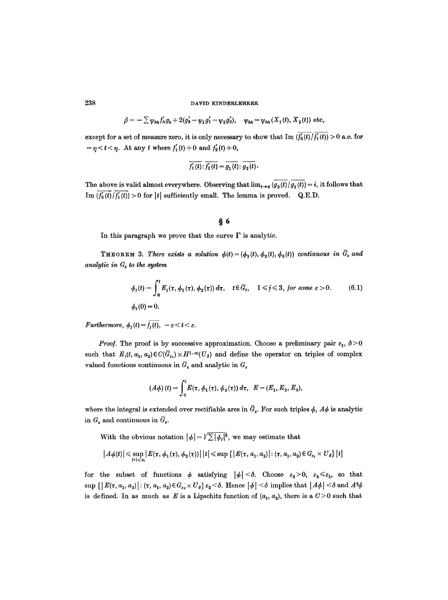$$
\beta = -\sum \psi_{hk} f'_h g_k + 2(g'_3 - \psi_1 g'_1 - \psi_2 g'_2), \quad \psi_{hk} = \psi_{hk}(X_1(t), X_2(t)) \text{ etc.}
$$

except for a set of measure zero, it is only necessary to show that Im  $(\overline{f'_2(t)}/\overline{f'_1(t)}) > 0$  a.e. for  $-\eta < t < \eta$ . At any t where  $f'_{1}(t) \neq 0$  and  $f'_{2}(t) \neq 0$ ,

$$
\overline{f'_1(t)}:\overline{f'_2(t)}=\overline{g_1(t)}:\overline{g_2(t)}.
$$

The above is valid almost everywhere. Observing that  $\lim_{t\to 0}$   $(g_2(t)/g_1(t)) = i$ , it follows that Im  $(f'_2(t)/f'_1(t))>0$  for |t| sufficiently small. The lemma is proved. Q.E.D.

## *w*

In this paragraph we prove that the curve  $\Gamma$  is analytic.

**THEOREM 3.** There exists a solution  $\phi(t) = (\phi_1(t), \phi_2(t), \phi_3(t))$  continuous in  $\bar{G}_{\varepsilon}$  and *analytic in*  $G_{\varepsilon}$  to the system

$$
\phi_j(t) = \int_0^t E_j(\tau, \phi_1(\tau), \phi_2(\tau)) d\tau, \quad t \in \overline{G}_{\varepsilon}, \quad 1 \le j \le 3, \text{ for some } \varepsilon > 0. \tag{6.1}
$$
\n
$$
\phi_j(0) = 0.
$$

*Furthermore,*  $\phi_i(t) = \overline{f_i(t)}, -\varepsilon < t < \varepsilon.$ 

*Proof.* The proof is by successive approximation. Choose a preliminary pair  $\varepsilon_1$ ,  $\delta > 0$ such that  $E_j(t, a_1, a_2) \in C(\bar{G}_{\varepsilon_1}) \times H^{1,\infty}(U_{\delta})$  and define the operator on triples of complex valued functions continuous in  $\bar{G}_{\varepsilon}$  and analytic in  $G_{\varepsilon}$ 

$$
(A\phi)(t) = \int_0^t E(\tau, \phi_1(\tau), \phi_2(\tau)) d\tau, \ \ E = (E_1, E_2, E_3),
$$

where the integral is extended over rectifiable arcs in  $\bar{G}_{\epsilon}$ . For such triples  $\phi$ ,  $A\phi$  is analytic in  $G_{\varepsilon}$  and continuous in  $\bar{G}_{\varepsilon}$ .

With the obvious notation  $|\phi| = \sqrt{\sum |\phi_j|^2}$ , we may estimate that

$$
|A\phi(t)| \leq \sup_{|\tau| \leqslant s_1} |E(\tau,\phi_1(\tau),\phi_2(\tau))| |t| \leqslant \sup\left\{ |E(\tau,a_1,a_2)| : (\tau,a_1,a_2) \in G_{s_1} \times U_{\delta} \right\} |t|
$$

for the subset of functions  $\phi$  satisfying  $|\phi| < \delta$ . Choose  $\varepsilon_2 > 0$ ,  $\varepsilon_2 \leq \varepsilon_1$ , so that  $\sup\left\{\left|\left|E(\tau,a_1,a_2)\right|: (\tau,a_1,a_2)\in G_{\varepsilon_2}\times U_{\delta}\right\}\varepsilon_2\leq \delta. \right.$  Hence  $|\phi|\leq \delta$  implies that  $|A\phi|\leq \delta$  and  $A^2\phi$ is defined. In as much as E is a Lipschitz function of  $(a_1, a_2)$ , there is a  $C>0$  such that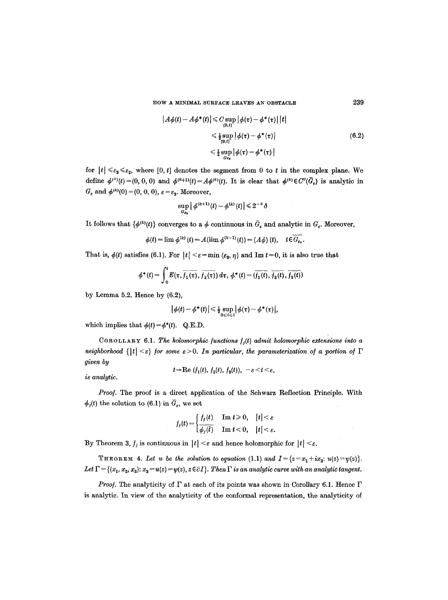HOW A MINIMAL SURFACE LEAVES AN OBSTACLE 239

$$
|A\phi(t) - A\phi^*(t)| \leq C \sup_{\substack{\{0, t\} \\ 0, t\}}} |\phi(\tau) - \phi^*(\tau)| |t|
$$
  
\n
$$
\leq \frac{1}{2} \sup_{\substack{\{0, t\}}} |\phi(\tau) - \phi^*(\tau)|
$$
  
\n
$$
\leq \frac{1}{2} \sup_{G_{\varepsilon_3}} |\phi(\tau) - \phi^*(\tau)|
$$
\n(6.2)

for  $|t| \leq \varepsilon_3 \leq \varepsilon_2$ , where [0, t] denotes the segment from 0 to t in the complex plane. We define  $\phi^{(0)}(t)=(0, 0, 0)$  and  $\phi^{(k+1)}(t)=A\phi^{(k)}(t)$ . It is clear that  $\phi^{(k)}\in C^{\circ}(\overline{G}_{\epsilon})$  is analytic in  $G_{\varepsilon}$  and  $\phi^{(k)}(0) = (0, 0, 0), \, \varepsilon = \varepsilon_3$ . Moreover,

$$
\sup_{G_{\varepsilon_3}} \big|\, \phi^{(k+1)}(t) - \phi^{(k)}(t)\big| \,{\leqslant}\, 2^{-k}\hspace{0.05cm}\delta
$$

It follows that  $\{\phi^{(k)}(t)\}$  converges to a  $\phi$  continuous in  $\bar{G}_{\varepsilon}$  and analytic in  $G_{\varepsilon}$ . Moreover,

 $\phi(t) = \lim \phi^{(k)}(t) = A(\lim \phi^{(k-1)}(t)) = (A\phi)(t), \quad t \in \overline{G_{\epsilon}},$ 

That is,  $\phi(t)$  satisfies (6.1). For  $|t| < \varepsilon = \min(\varepsilon_3, \eta)$  and Im  $t=0$ , it is also true that

$$
\phi^*(t) = \int_0^t E(\tau, \overline{f_1(\tau)}, \overline{f_2(\tau)}) d\tau, \ \phi^*(t) = (\overline{f_1(t)}, \overline{f_2(t)}, \overline{f_3(t)})
$$

by Lemma 5.2. Hence by  $(6.2)$ ,

$$
|\phi(t)-\phi^*(t)|\leq \tfrac{1}{2}\sup_{0\leq t\leq t}|\phi(\tau)-\phi^*(\tau)|,
$$

which implies that  $\phi(t) = \phi^*(t)$ . Q.E.D.

COROLLARY 6.1. The holomorphic functions  $f_i(t)$  admit holomorphic extensions into a *neighborhood*  $\{|t| < \varepsilon\}$  for some  $\varepsilon > 0$ . In particular, the parameterization of a portion of  $\Gamma$ *given by* 

$$
t\rightarrow \text{Re }(f_1(t), f_2(t), f_3(t)), \ -\varepsilon < t < \varepsilon,
$$

*is analytic.* 

*Proo/.* The proof is a direct application of the Schwarz Reflection Principle. With  $\phi_j(t)$  the solution to (6.1) in  $\bar{G}_e$ , we set

$$
f_j(t) = \begin{cases} f_j(t) & \text{Im } t \geq 0, \quad |t| < \varepsilon \\ \overline{\phi_j(t)} & \text{Im } t < 0, \quad |t| < \varepsilon. \end{cases}
$$

By Theorem 3,  $f_i$  is continuous in  $|t| < \varepsilon$  and hence holomorphic for  $|t| < \varepsilon$ .

THEOREM 4. Let u. be the solution to equation (1.1) and  $I = \{z = x_1 + ix_2 : u(z) = \psi(z)\}.$ Let  $\Gamma = \{(x_1, x_2, x_3): x_3 = u(z) = \psi(z), z \in \partial I\}$ . Then  $\Gamma$  is an analytic curve with an analytic tangent.

*Proof.* The analyticity of  $\Gamma$  at each of its points was shown in Corollary 6.1. Hence  $\Gamma$ is analytic. In view of the analyticity of the conformal representation, the analyticity of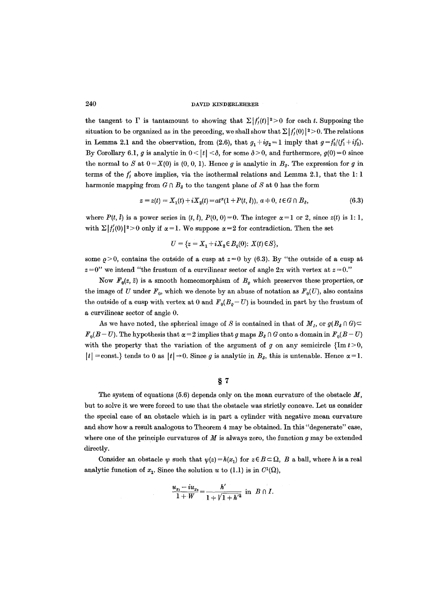the tangent to  $\Gamma$  is tantamount to showing that  $\Sigma |f'(t)|^2>0$  for each t. Supposing the situation to be organized as in the preceding, we shall show that  $\Sigma |f'_{i}(0)|^{2} > 0$ . The relations in Lemma 2.1 and the observation, from (2.6), that  $g_1+ig_2 = 1$  imply that  $g=f'_3/(f'_1+if'_2)$ . By Corollary 6.1, g is analytic in  $0 < |t| < \delta$ , for some  $\delta > 0$ , and furthermore,  $g(0) = 0$  since the normal to S at  $0 = X(0)$  is  $(0, 0, 1)$ . Hence g is analytic in  $B_3$ . The expression for g in terms of the  $f'_{j}$  above implies, via the isothermal relations and Lemma 2.1, that the 1:1 harmonic mapping from  $G \cap B_{\delta}$  to the tangent plane of S at 0 has the form

$$
z = z(t) = X_1(t) + iX_2(t) = at^{\alpha}(1 + P(t, t)), \ a \neq 0, \ t \in G \cap B_{\delta}, \tag{6.3}
$$

where  $P(t, \tilde{t})$  is a power series in  $(t, \tilde{t})$ ,  $P(0, 0) = 0$ . The integer  $\alpha = 1$  or 2, since  $z(t)$  is 1: 1, with  $\sum |f'_i(0)|^2 > 0$  only if  $\alpha = 1$ . We suppose  $\alpha = 2$  for contradiction. Then the set

$$
U = \{ z = X_1 + i X_2 \in B_{\varrho}(0): X(t) \in S \},
$$

some  $\rho > 0$ , contains the outside of a cusp at  $z=0$  by (6.3). By "the outside of a cusp at  $z=0$ " we intend "the frustum of a curvilinear sector of angle  $2\pi$  with vertex at  $z=0$ ."

Now  $F_0(z, \bar{z})$  is a smooth homeomorphism of  $B_{\varrho}$  which preserves these properties, or the image of U under  $F_0$ , which we denote by an abuse of notation as  $F_0(U)$ , also contains the outside of a cusp with vertex at 0 and  $F_0(B_q-U)$  is bounded in part by the frustum of a curvilinear sector of angle 0.

As we have noted, the spherical image of S is contained in that of  $M<sub>I</sub>$ , or  $g(B<sub>g</sub> \cap G)$  $F_0(B-U)$ . The hypothesis that  $\alpha = 2$  implies that g maps  $B_\delta \cap G$  onto a domain in  $F_0(B-U)$ with the property that the variation of the argument of g on any semicircle  $\{\text{Im } t > 0,$  $|t|$  = const.} tends to 0 as  $|t| \rightarrow 0$ . Since g is analytic in  $B_{\delta}$ , this is untenable. Hence  $\alpha = 1$ .

### $§ 7$

The system of equations (5.6) depends only on the mean curvature of the obstacle  $M$ , but to solve it we were forced to use that the obstacle was strictly concave. Let us consider the special case of an obstacle which is in part a cylinder with negative mean curvature and show how a result analogous to Theorem 4 may be obtained. In this "degenerate" case, where one of the principle curvatures of  $M$  is always zero, the function  $g$  may be extended directly.

Consider an obstacle  $\psi$  such that  $\psi(z)=h(x_1)$  for  $z\in B\subset\Omega$ , B a ball, where h is a real analytic function of  $x_1$ . Since the solution u to (1.1) is in  $C^1(\Omega)$ ,

$$
\frac{u_{x_1} - iu_{x_2}}{1 + W} = \frac{h'}{1 + \sqrt{1 + h'^2}} \text{ in } B \cap I.
$$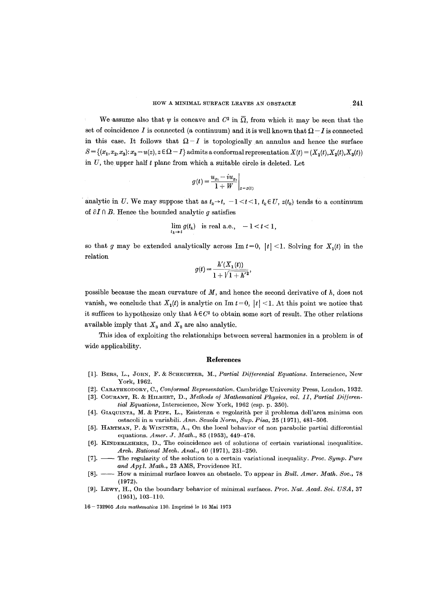We assume also that  $\psi$  is concave and  $C^2$  in  $\overline{\Omega}$ , from which it may be seen that the set of coincidence I is connected (a continuum) and it is well known that  $\Omega - I$  is connected in this case. It follows that  $\Omega-I$  is topologically an annulus and hence the surface  $S = \{(x_1, x_2, x_3): x_3 = u(z), z \in \Omega - I\}$  admits a conformal representation  $X(t) = (X_1(t), X_2(t), X_3(t))$ in  $U$ , the upper half  $t$  plane from which a suitable circle is deleted. Let

$$
g(t) = \frac{u_{x_1} - iu_{x_2}}{1 + W}\bigg|_{z = z(t)}
$$

analytic in U. We may suppose that as  $t_k \rightarrow t$ ,  $-1 < t < 1$ ,  $t_k \in U$ ,  $z(t_k)$  tends to a continuum of  $\partial I \cap B$ . Hence the bounded analytic q satisfies

$$
\lim_{t_k \to t} g(t_k) \quad \text{is real a.e.,} \quad -1 < t < 1,
$$

so that g may be extended analytically across  $\text{Im } t=0, |t|<1$ . Solving for  $X_1(t)$  in the relation

$$
g(t) = \frac{h'(X_1(t))}{1 + \sqrt{1 + h'^2}},
$$

possible because the mean curvature of *M,* and hence the second derivative of h, does not vanish, we conclude that  $X_1(t)$  is analytic on Im  $t = 0$ ,  $|t| < 1$ . At this point we notice that it suffices to hypothesize only that  $h \in C^2$  to obtain some sort of result. The other relations available imply that  $X_3$  and  $X_2$  are also analytic.

This idea of exploiting the relationships between several harmonics in a problem is of wide applicability.

#### **References**

- [1]. BERS, L., JOHN, F. & SCHECHTER, M., *Partial Differential Equations*. Interscience, New York, 1962.
- [2]. CARATHEODORY, C., *Conformal Representation*. Cambridge University Press, London, 1932.
- [3]. COURANT, R. & HILBERT, D., *Methods of Mathematical Physics, vol. 11, Partial Differential Equations, Interscience, New York, 1962 (esp. p. 350).*
- [4]. GIAQUINTA, M. & PEPE, L., Esistenza e regolarità per il problema dell'area minima con ostacoli in n variabili. *Ann. Scuola Norm, Sup. Pisa,* 25 (1971), 481-506.
- [5]. HARTMAN, P. & WINTNER, A., On the local behavior of non parabolic partial differential equations. *Amer. J. Math.,* 85 (1953), 449-476.
- [6]. KINDERLEHRER, D., The coincidence set of solutions of certain variational inequalities. *Arch. Rational Mech. Anal.,* 40 (1971), 231-250.
- [7]. -- The regularity of the solution to a certain variational inequality. *Proc. Symp. Pure* and Apyl. Math., 23 AMS, Providence RI.
- [8]. -- How a minimal surface leaves an obstacle. To appear in *Bull. Amer. Math. Soc.*, 78 (1972).
- [9]. LEWY, H., On the boundary behavior of minimal surfaces. *Proc. Nat. Acad. Sci. USA,* 37 (1951), 103-110.
- 16 732905 *Acta mathematica* 130. Imprim6 le 16 Mai 1973